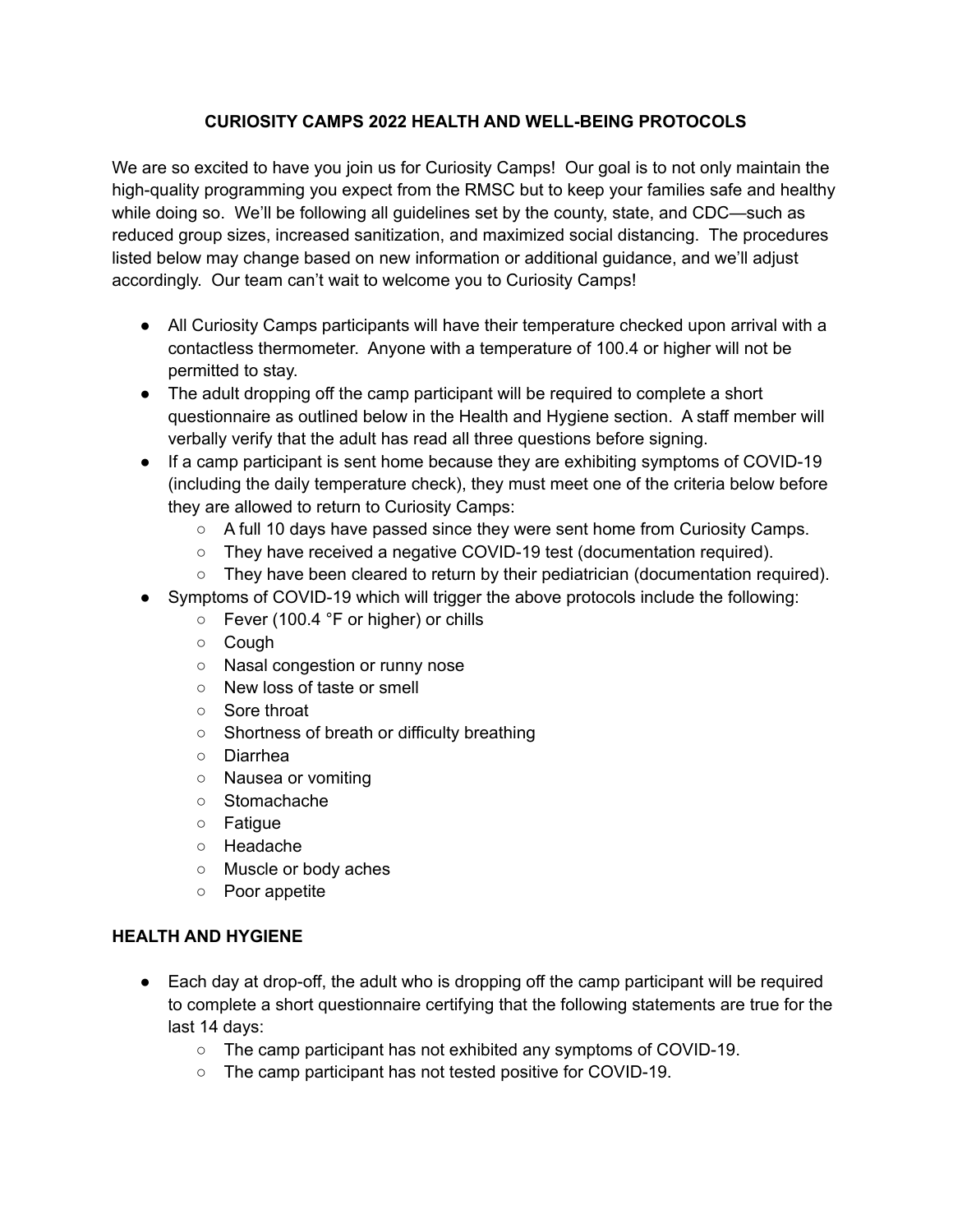## **CURIOSITY CAMPS 2022 HEALTH AND WELL-BEING PROTOCOLS**

We are so excited to have you join us for Curiosity Camps! Our goal is to not only maintain the high-quality programming you expect from the RMSC but to keep your families safe and healthy while doing so. We'll be following all guidelines set by the county, state, and CDC—such as reduced group sizes, increased sanitization, and maximized social distancing. The procedures listed below may change based on new information or additional guidance, and we'll adjust accordingly. Our team can't wait to welcome you to Curiosity Camps!

- All Curiosity Camps participants will have their temperature checked upon arrival with a contactless thermometer. Anyone with a temperature of 100.4 or higher will not be permitted to stay.
- The adult dropping off the camp participant will be required to complete a short questionnaire as outlined below in the Health and Hygiene section. A staff member will verbally verify that the adult has read all three questions before signing.
- If a camp participant is sent home because they are exhibiting symptoms of COVID-19 (including the daily temperature check), they must meet one of the criteria below before they are allowed to return to Curiosity Camps:
	- $\circ$  A full 10 days have passed since they were sent home from Curiosity Camps.
	- They have received a negative COVID-19 test (documentation required).
	- $\circ$  They have been cleared to return by their pediatrician (documentation required).
- Symptoms of COVID-19 which will trigger the above protocols include the following:
	- Fever (100.4 °F or higher) or chills
	- Cough
	- Nasal congestion or runny nose
	- New loss of taste or smell
	- Sore throat
	- Shortness of breath or difficulty breathing
	- Diarrhea
	- Nausea or vomiting
	- Stomachache
	- Fatigue
	- Headache
	- Muscle or body aches
	- Poor appetite

## **HEALTH AND HYGIENE**

- Each day at drop-off, the adult who is dropping off the camp participant will be required to complete a short questionnaire certifying that the following statements are true for the last 14 days:
	- The camp participant has not exhibited any symptoms of COVID-19.
	- The camp participant has not tested positive for COVID-19.